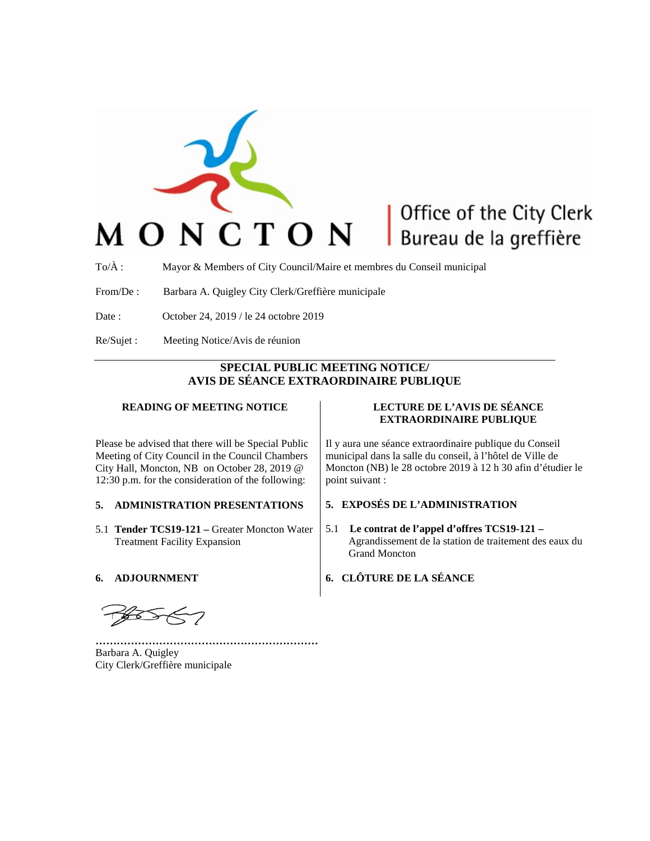

# Office of the City Clerk Bureau de la greffière

To/À : Mayor & Members of City Council/Maire et membres du Conseil municipal

From/De : Barbara A. Quigley City Clerk/Greffière municipale

- Date : October 24, 2019 / le 24 octobre 2019
- Re/Sujet : Meeting Notice/Avis de réunion

## **SPECIAL PUBLIC MEETING NOTICE/ AVIS DE SÉANCE EXTRAORDINAIRE PUBLIQUE**

#### **READING OF MEETING NOTICE**

Please be advised that there will be Special Public Meeting of City Council in the Council Chambers City Hall, Moncton, NB on October 28, 2019 @ 12:30 p.m. for the consideration of the following:

#### **5. ADMINISTRATION PRESENTATIONS**

5.1 **Tender TCS19-121 –** Greater Moncton Water Treatment Facility Expansion

#### **6. ADJOURNMENT**

**………………………………………………………** Barbara A. Quigley City Clerk/Greffière municipale

#### **LECTURE DE L'AVIS DE SÉANCE EXTRAORDINAIRE PUBLIQUE**

Il y aura une séance extraordinaire publique du Conseil municipal dans la salle du conseil, à l'hôtel de Ville de Moncton (NB) le 28 octobre 2019 à 12 h 30 afin d'étudier le point suivant :

#### **5. EXPOSÉS DE L'ADMINISTRATION**

5.1 **Le contrat de l'appel d'offres TCS19-121 –** Agrandissement de la station de traitement des eaux du Grand Moncton

### **6. CLÔTURE DE LA SÉANCE**